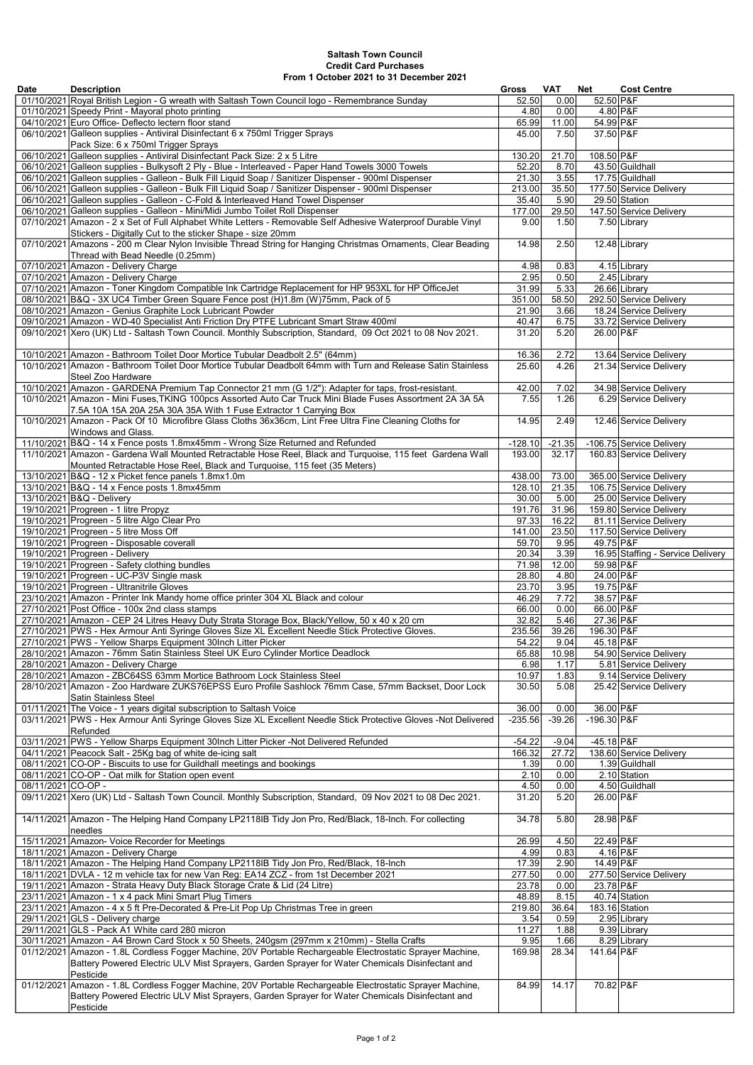| <b>Date</b>        | <b>Description</b>                                                                                                                                                                                  | Gross          | <b>VAT</b>   | <b>Net</b>             | <b>Cost Centre</b>                |
|--------------------|-----------------------------------------------------------------------------------------------------------------------------------------------------------------------------------------------------|----------------|--------------|------------------------|-----------------------------------|
|                    | 01/10/2021 Royal British Legion - G wreath with Saltash Town Council logo - Remembrance Sunday                                                                                                      | 52.50          | 0.00         | 52.50 P&F              |                                   |
|                    | 01/10/2021 Speedy Print - Mayoral photo printing                                                                                                                                                    | 4.80           | 0.00         |                        | $4.80$ P&F                        |
|                    | 04/10/2021 Euro Office- Deflecto lectern floor stand                                                                                                                                                | 65.99          | 11.00        | 54.99 P&F              |                                   |
|                    | 06/10/2021 Galleon supplies - Antiviral Disinfectant 6 x 750ml Trigger Sprays                                                                                                                       | 45.00          | 7.50         | 37.50 P&F              |                                   |
|                    | Pack Size: 6 x 750ml Trigger Sprays                                                                                                                                                                 |                |              |                        |                                   |
|                    | 06/10/2021 Galleon supplies - Antiviral Disinfectant Pack Size: 2 x 5 Litre                                                                                                                         | 130.20         | 21.70        | 108.50 P&F             |                                   |
|                    | 06/10/2021 Galleon supplies - Bulkysoft 2 Ply - Blue - Interleaved - Paper Hand Towels 3000 Towels                                                                                                  | 52.20          | 8.70         |                        | 43.50 Guildhall                   |
|                    | 06/10/2021 Galleon supplies - Galleon - Bulk Fill Liquid Soap / Sanitizer Dispenser - 900ml Dispenser                                                                                               | 21.30          | 3.55         |                        | 17.75 Guildhall                   |
|                    | 06/10/2021 Galleon supplies - Galleon - Bulk Fill Liquid Soap / Sanitizer Dispenser - 900ml Dispenser                                                                                               | 213.00         | 35.50        |                        | 177.50 Service Delivery           |
|                    | 06/10/2021 Galleon supplies - Galleon - C-Fold & Interleaved Hand Towel Dispenser                                                                                                                   | 35.40          | 5.90         |                        | 29.50 Station                     |
|                    | 06/10/2021 Galleon supplies - Galleon - Mini/Midi Jumbo Toilet Roll Dispenser                                                                                                                       | 177.00         | 29.50        |                        | 147.50 Service Delivery           |
|                    | 07/10/2021 Amazon - 2 x Set of Full Alphabet White Letters - Removable Self Adhesive Waterproof Durable Vinyl                                                                                       | 9.00           | 1.50         |                        | 7.50 Library                      |
|                    | Stickers - Digitally Cut to the sticker Shape - size 20mm                                                                                                                                           |                |              |                        |                                   |
|                    | 07/10/2021 Amazons - 200 m Clear Nylon Invisible Thread String for Hanging Christmas Ornaments, Clear Beading                                                                                       | 14.98          | 2.50         |                        | 12.48 Library                     |
|                    | Thread with Bead Needle (0.25mm)                                                                                                                                                                    |                |              |                        |                                   |
|                    | 07/10/2021 Amazon - Delivery Charge                                                                                                                                                                 | 4.98           | 0.83         |                        | 4.15 Library                      |
|                    | 07/10/2021 Amazon - Delivery Charge                                                                                                                                                                 | 2.95           | 0.50         |                        | 2.45 Library                      |
|                    | 07/10/2021 Amazon - Toner Kingdom Compatible Ink Cartridge Replacement for HP 953XL for HP OfficeJet                                                                                                | 31.99          | 5.33         |                        | 26.66 Library                     |
|                    | 08/10/2021 B&Q - 3X UC4 Timber Green Square Fence post (H)1.8m (W)75mm, Pack of 5                                                                                                                   | 351.00         | 58.50        |                        | 292.50 Service Delivery           |
|                    | 08/10/2021 Amazon - Genius Graphite Lock Lubricant Powder                                                                                                                                           | 21.90          | 3.66         |                        | 18.24 Service Delivery            |
|                    | 09/10/2021 Amazon - WD-40 Specialist Anti Friction Dry PTFE Lubricant Smart Straw 400ml                                                                                                             | 40.47          | 6.75         |                        | 33.72 Service Delivery            |
|                    | 09/10/2021 Xero (UK) Ltd - Saltash Town Council. Monthly Subscription, Standard, 09 Oct 2021 to 08 Nov 2021.                                                                                        | 31.20          | 5.20         | 26.00 P&F              |                                   |
|                    |                                                                                                                                                                                                     |                |              |                        |                                   |
|                    | 10/10/2021 Amazon - Bathroom Toilet Door Mortice Tubular Deadbolt 2.5" (64mm)                                                                                                                       | 16.36          | 2.72         |                        | 13.64 Service Delivery            |
|                    | 10/10/2021 Amazon - Bathroom Toilet Door Mortice Tubular Deadbolt 64mm with Turn and Release Satin Stainless                                                                                        | 25.60          | 4.26         |                        | 21.34 Service Delivery            |
|                    | Steel Zoo Hardware                                                                                                                                                                                  |                |              |                        |                                   |
|                    | 10/10/2021 Amazon - GARDENA Premium Tap Connector 21 mm (G 1/2"): Adapter for taps, frost-resistant.                                                                                                | 42.00          | 7.02         |                        | 34.98 Service Delivery            |
|                    | 10/10/2021 Amazon - Mini Fuses, TKING 100pcs Assorted Auto Car Truck Mini Blade Fuses Assortment 2A 3A 5A                                                                                           | 7.55           | 1.26         |                        | 6.29 Service Delivery             |
|                    | 7.5A 10A 15A 20A 25A 30A 35A With 1 Fuse Extractor 1 Carrying Box                                                                                                                                   |                |              |                        |                                   |
|                    | 10/10/2021 Amazon - Pack Of 10 Microfibre Glass Cloths 36x36cm, Lint Free Ultra Fine Cleaning Cloths for                                                                                            | 14.95          | 2.49         |                        | 12.46 Service Delivery            |
|                    | Windows and Glass.                                                                                                                                                                                  |                |              |                        |                                   |
|                    | 11/10/2021 B&Q - 14 x Fence posts 1.8mx45mm - Wrong Size Returned and Refunded                                                                                                                      | $-128.10$      | $-21.35$     |                        | -106.75 Service Delivery          |
|                    | 11/10/2021 Amazon - Gardena Wall Mounted Retractable Hose Reel, Black and Turquoise, 115 feet Gardena Wall                                                                                          | 193.00         | 32.17        |                        | 160.83 Service Delivery           |
|                    | Mounted Retractable Hose Reel, Black and Turquoise, 115 feet (35 Meters)                                                                                                                            |                |              |                        |                                   |
|                    | 13/10/2021 B&Q - 12 x Picket fence panels 1.8mx1.0m                                                                                                                                                 | 438.00         | 73.00        |                        | 365.00 Service Delivery           |
|                    | 13/10/2021 B&Q - 14 x Fence posts 1.8mx45mm                                                                                                                                                         | 128.10         | 21.35        |                        | 106.75 Service Delivery           |
|                    | 13/10/2021 B&Q - Delivery                                                                                                                                                                           | 30.00          | 5.00         |                        | 25.00 Service Delivery            |
|                    | 19/10/2021 Progreen - 1 litre Propyz                                                                                                                                                                | 191.76         | 31.96        |                        | 159.80 Service Delivery           |
|                    | 19/10/2021 Progreen - 5 litre Algo Clear Pro                                                                                                                                                        | 97.33          | 16.22        |                        | 81.11 Service Delivery            |
|                    | 19/10/2021 Progreen - 5 litre Moss Off                                                                                                                                                              | 141.00         | 23.50        |                        | 117.50 Service Delivery           |
|                    | 19/10/2021 Progreen - Disposable coverall                                                                                                                                                           | 59.70          | 9.95         | 49.75 P&F              |                                   |
|                    | 19/10/2021 Progreen - Delivery                                                                                                                                                                      | 20.34          | 3.39         |                        | 16.95 Staffing - Service Delivery |
|                    | 19/10/2021 Progreen - Safety clothing bundles                                                                                                                                                       | 71.98          | 12.00        | 59.98 P&F              |                                   |
|                    | 19/10/2021 Progreen - UC-P3V Single mask                                                                                                                                                            | 28.80          | 4.80         | 24.00 P&F              |                                   |
|                    | 19/10/2021 Progreen - Ultranitrile Gloves                                                                                                                                                           | 23.70          | 3.95         | 19.75 P&F              |                                   |
|                    | 23/10/2021 Amazon - Printer Ink Mandy home office printer 304 XL Black and colour                                                                                                                   | 46.29          | 7.72         | 38.57 P&F<br>66.00 P&F |                                   |
|                    | 27/10/2021 Post Office - 100x 2nd class stamps                                                                                                                                                      | 66.00<br>32.82 | 0.00<br>5.46 | 27.36 P&F              |                                   |
|                    | 27/10/2021 Amazon - CEP 24 Litres Heavy Duty Strata Storage Box, Black/Yellow, 50 x 40 x 20 cm<br>27/10/2021 PWS - Hex Armour Anti Syringe Gloves Size XL Excellent Needle Stick Protective Gloves. | 235.56         | 39.26        | 196.30 P&F             |                                   |
|                    | 27/10/2021 PWS - Yellow Sharps Equipment 30Inch Litter Picker                                                                                                                                       | 54.22          | 9.04         | 45.18 P&F              |                                   |
|                    | 28/10/2021 Amazon - 76mm Satin Stainless Steel UK Euro Cylinder Mortice Deadlock                                                                                                                    | 65.88          | 10.98        |                        | 54.90 Service Delivery            |
|                    | 28/10/2021 Amazon - Delivery Charge                                                                                                                                                                 | 6.98           | 1.17         |                        | 5.81 Service Delivery             |
|                    | 28/10/2021 Amazon - ZBC64SS 63mm Mortice Bathroom Lock Stainless Steel                                                                                                                              | 10.97          | 1.83         |                        | 9.14 Service Delivery             |
|                    | 28/10/2021 Amazon - Zoo Hardware ZUKS76EPSS Euro Profile Sashlock 76mm Case, 57mm Backset, Door Lock                                                                                                | 30.50          | 5.08         |                        | 25.42 Service Delivery            |
|                    | Satin Stainless Steel                                                                                                                                                                               |                |              |                        |                                   |
|                    | 01/11/2021 The Voice - 1 years digital subscription to Saltash Voice                                                                                                                                | 36.00          | 0.00         | 36.00 P&F              |                                   |
|                    | 03/11/2021 PWS - Hex Armour Anti Syringe Gloves Size XL Excellent Needle Stick Protective Gloves -Not Delivered                                                                                     | $-235.56$      | $-39.26$     | $-196.30 P\&F$         |                                   |
|                    | Refunded                                                                                                                                                                                            |                |              |                        |                                   |
|                    | 03/11/2021 PWS - Yellow Sharps Equipment 30Inch Litter Picker -Not Delivered Refunded                                                                                                               | $-54.22$       | $-9.04$      | $-45.18$ P&F           |                                   |
|                    | 04/11/2021 Peacock Salt - 25Kg bag of white de-icing salt                                                                                                                                           | 166.32         | 27.72        |                        | 138.60 Service Delivery           |
|                    | 08/11/2021 CO-OP - Biscuits to use for Guildhall meetings and bookings                                                                                                                              | 1.39           | 0.00         |                        | 1.39 Guildhall                    |
|                    | 08/11/2021 CO-OP - Oat milk for Station open event                                                                                                                                                  | 2.10           | 0.00         |                        | $2.10$ Station                    |
| 08/11/2021 CO-OP - |                                                                                                                                                                                                     | 4.50           | 0.00         |                        | 4.50 Guildhall                    |
|                    | 09/11/2021 Xero (UK) Ltd - Saltash Town Council. Monthly Subscription, Standard, 09 Nov 2021 to 08 Dec 2021.                                                                                        | 31.20          | 5.20         | 26.00 P&F              |                                   |
|                    |                                                                                                                                                                                                     |                |              |                        |                                   |
|                    | 14/11/2021 Amazon - The Helping Hand Company LP2118IB Tidy Jon Pro, Red/Black, 18-Inch. For collecting                                                                                              | 34.78          | 5.80         | 28.98 P&F              |                                   |
|                    | Ineedles                                                                                                                                                                                            |                |              |                        |                                   |
|                    | 15/11/2021 Amazon- Voice Recorder for Meetings                                                                                                                                                      | 26.99          | 4.50         | 22.49 P&F              |                                   |
|                    | 18/11/2021 Amazon - Delivery Charge                                                                                                                                                                 | 4.99           | 0.83         |                        | $4.16$ P&F                        |
|                    | 18/11/2021 Amazon - The Helping Hand Company LP2118IB Tidy Jon Pro, Red/Black, 18-Inch                                                                                                              | 17.39          | 2.90         | 14.49 P&F              |                                   |
|                    | 18/11/2021 DVLA - 12 m vehicle tax for new Van Reg: EA14 ZCZ - from 1st December 2021                                                                                                               | 277.50         | 0.00         |                        | 277.50 Service Delivery           |
|                    | 19/11/2021 Amazon - Strata Heavy Duty Black Storage Crate & Lid (24 Litre)                                                                                                                          | 23.78          | 0.00         | 23.78 P&F              |                                   |
|                    | 23/11/2021 Amazon - 1 x 4 pack Mini Smart Plug Timers                                                                                                                                               | 48.89          | 8.15         |                        | 40.74 Station                     |
|                    | 23/11/2021 Amazon - 4 x 5 ft Pre-Decorated & Pre-Lit Pop Up Christmas Tree in green                                                                                                                 | 219.80         | 36.64        |                        | 183.16 Station                    |
|                    | $29/11/2021$ GLS - Delivery charge                                                                                                                                                                  | 3.54           | 0.59         |                        | 2.95 Library                      |
|                    | 29/11/2021 GLS - Pack A1 White card 280 micron                                                                                                                                                      | 11.27          | 1.88         |                        | 9.39 Library                      |
|                    | 30/11/2021 Amazon - A4 Brown Card Stock x 50 Sheets, 240gsm (297mm x 210mm) - Stella Crafts                                                                                                         | 9.95           | 1.66         |                        | 8.29 Library                      |
|                    | 01/12/2021 Amazon - 1.8L Cordless Fogger Machine, 20V Portable Rechargeable Electrostatic Sprayer Machine,                                                                                          | 169.98         | 28.34        | 141.64 P&F             |                                   |
|                    | Battery Powered Electric ULV Mist Sprayers, Garden Sprayer for Water Chemicals Disinfectant and                                                                                                     |                |              |                        |                                   |
|                    | Pesticide                                                                                                                                                                                           |                |              |                        |                                   |
|                    | 01/12/2021 Amazon - 1.8L Cordless Fogger Machine, 20V Portable Rechargeable Electrostatic Sprayer Machine,                                                                                          | 84.99          | 14.17        | 70.82 P&F              |                                   |
|                    | Battery Powered Electric ULV Mist Sprayers, Garden Sprayer for Water Chemicals Disinfectant and                                                                                                     |                |              |                        |                                   |
|                    | Pesticide                                                                                                                                                                                           |                |              |                        |                                   |

## Saltash Town Council Credit Card Purchases From 1 October 2021 to 31 December 2021